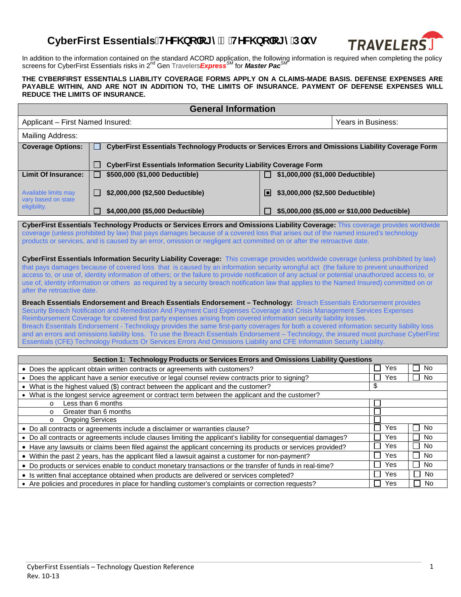## CyberFirst Essentials!HYW bc`c[ m/ 'HYW bc`c[ mD`i g



In addition to the information contained on the standard ACORD application, the following information is required when completing the policy<br>screens for CyberFirst Essentials risks in 2<sup>nd</sup> Gen Travelers*Express<sup>SM</sup> for* 

## **THE CYBERFIRST ESSENTIALS LIABILITY COVERAGE FORMS APPLY ON A CLAIMS-MADE BASIS. DEFENSE EXPENSES ARE PAYABLE WITHIN, AND ARE NOT IN ADDITION TO, THE LIMITS OF INSURANCE. PAYMENT OF DEFENSE EXPENSES WILL REDUCE THE LIMITS OF INSURANCE.**

| <b>General Information</b>                                                                                                                                                                                                                                                   |                                                                                                                                                    |                                              |                      |  |  |
|------------------------------------------------------------------------------------------------------------------------------------------------------------------------------------------------------------------------------------------------------------------------------|----------------------------------------------------------------------------------------------------------------------------------------------------|----------------------------------------------|----------------------|--|--|
| Applicant - First Named Insured:                                                                                                                                                                                                                                             |                                                                                                                                                    | Years in Business:                           |                      |  |  |
| Mailing Address:                                                                                                                                                                                                                                                             |                                                                                                                                                    |                                              |                      |  |  |
| <b>Coverage Options:</b>                                                                                                                                                                                                                                                     | CyberFirst Essentials Technology Products or Services Errors and Omissions Liability Coverage Form                                                 |                                              |                      |  |  |
|                                                                                                                                                                                                                                                                              |                                                                                                                                                    |                                              |                      |  |  |
|                                                                                                                                                                                                                                                                              | <b>CyberFirst Essentials Information Security Liability Coverage Form</b>                                                                          |                                              |                      |  |  |
| <b>Limit Of Insurance:</b>                                                                                                                                                                                                                                                   | \$500,000 (\$1,000 Deductible)<br>$\Box$                                                                                                           | \$1,000,000 (\$1,000 Deductible)             |                      |  |  |
| <b>Available limits may</b><br>vary based on state                                                                                                                                                                                                                           | \$2,000,000 (\$2,500 Deductible)<br>$\Box$                                                                                                         | \$3,000,000 (\$2,500 Deductible)<br>Ш        |                      |  |  |
| eligibility.                                                                                                                                                                                                                                                                 | \$4,000,000 (\$5,000 Deductible)                                                                                                                   | \$5,000,000 (\$5,000 or \$10,000 Deductible) |                      |  |  |
|                                                                                                                                                                                                                                                                              |                                                                                                                                                    |                                              |                      |  |  |
| CyberFirst Essentials Technology Products or Services Errors and Omissions Liability Coverage: This coverage provides worldwide<br>coverage (unless prohibited by law) that pays damages because of a covered loss that arises out of the named insured's technology         |                                                                                                                                                    |                                              |                      |  |  |
| products or services, and is caused by an error, omission or negligent act committed on or after the retroactive date.                                                                                                                                                       |                                                                                                                                                    |                                              |                      |  |  |
|                                                                                                                                                                                                                                                                              |                                                                                                                                                    |                                              |                      |  |  |
| CyberFirst Essentials Information Security Liability Coverage: This coverage provides worldwide coverage (unless prohibited by law)<br>that pays damages because of covered loss that is caused by an information security wrongful act (the failure to prevent unauthorized |                                                                                                                                                    |                                              |                      |  |  |
|                                                                                                                                                                                                                                                                              | access to, or use of, identity information of others; or the failure to provide notification of any actual or potential unauthorized access to, or |                                              |                      |  |  |
|                                                                                                                                                                                                                                                                              | use of, identity information or others as required by a security breach notification law that applies to the Named Insured) committed on or        |                                              |                      |  |  |
| after the retroactive date.                                                                                                                                                                                                                                                  |                                                                                                                                                    |                                              |                      |  |  |
| Breach Essentials Endorsement and Breach Essentials Endorsement - Technology: Breach Essentials Endorsement provides                                                                                                                                                         |                                                                                                                                                    |                                              |                      |  |  |
| Security Breach Notification and Remediation And Payment Card Expenses Coverage and Crisis Management Services Expenses                                                                                                                                                      |                                                                                                                                                    |                                              |                      |  |  |
| Reimbursement Coverage for covered first party expenses arising from covered information security liability losses.                                                                                                                                                          |                                                                                                                                                    |                                              |                      |  |  |
| Breach Essentials Endorsement - Technology provides the same first-party coverages for both a covered information security liability loss                                                                                                                                    |                                                                                                                                                    |                                              |                      |  |  |
| and an errors and omissions liability loss. To use the Breach Essentials Endorsement - Technology, the insured must purchase CyberFirst<br>Essentials (CFE) Technology Products Or Services Errors And Omissions Liability and CFE Information Security Liability.           |                                                                                                                                                    |                                              |                      |  |  |
|                                                                                                                                                                                                                                                                              |                                                                                                                                                    |                                              |                      |  |  |
| Section 1: Technology Products or Services Errors and Omissions Liability Questions                                                                                                                                                                                          |                                                                                                                                                    |                                              |                      |  |  |
|                                                                                                                                                                                                                                                                              | • Does the applicant obtain written contracts or agreements with customers?                                                                        |                                              | Yes<br>No            |  |  |
|                                                                                                                                                                                                                                                                              | • Does the applicant have a senior executive or legal counsel review contracts prior to signing?                                                   |                                              | Yes<br><b>No</b>     |  |  |
| \$<br>• What is the highest valued (\$) contract between the applicant and the customer?                                                                                                                                                                                     |                                                                                                                                                    |                                              |                      |  |  |
| • What is the longest service agreement or contract term between the applicant and the customer?<br>Less than 6 months                                                                                                                                                       |                                                                                                                                                    |                                              |                      |  |  |
| $\circ$                                                                                                                                                                                                                                                                      | Greater than 6 months                                                                                                                              |                                              |                      |  |  |
| $\circ$<br>$\circ$                                                                                                                                                                                                                                                           | <b>Ongoing Services</b>                                                                                                                            |                                              |                      |  |  |
|                                                                                                                                                                                                                                                                              | • Do all contracts or agreements include a disclaimer or warranties clause?                                                                        |                                              | Yes<br>П<br>No<br>×. |  |  |
|                                                                                                                                                                                                                                                                              | • Do all contracts or agreements include clauses limiting the applicant's liability for consequential damages?                                     |                                              | Yes<br>No            |  |  |
| • Have any lawsuits or claims been filed against the applicant concerning its products or services provided?                                                                                                                                                                 |                                                                                                                                                    |                                              | Yes<br>No            |  |  |
| • Within the past 2 years, has the applicant filed a lawsuit against a customer for non-payment?                                                                                                                                                                             |                                                                                                                                                    |                                              | Yes<br>No            |  |  |
| • Do products or services enable to conduct monetary transactions or the transfer of funds in real-time?                                                                                                                                                                     |                                                                                                                                                    |                                              | Yes<br>No            |  |  |
|                                                                                                                                                                                                                                                                              |                                                                                                                                                    |                                              |                      |  |  |

• Is written final acceptance obtained when products are delivered or services completed?  $\Box$  Yes  $\Box$  Yes  $\Box$  No • Are policies and procedures in place for handling customer's complaints or correction requests?  $\Box$  Yes  $\Box$  No